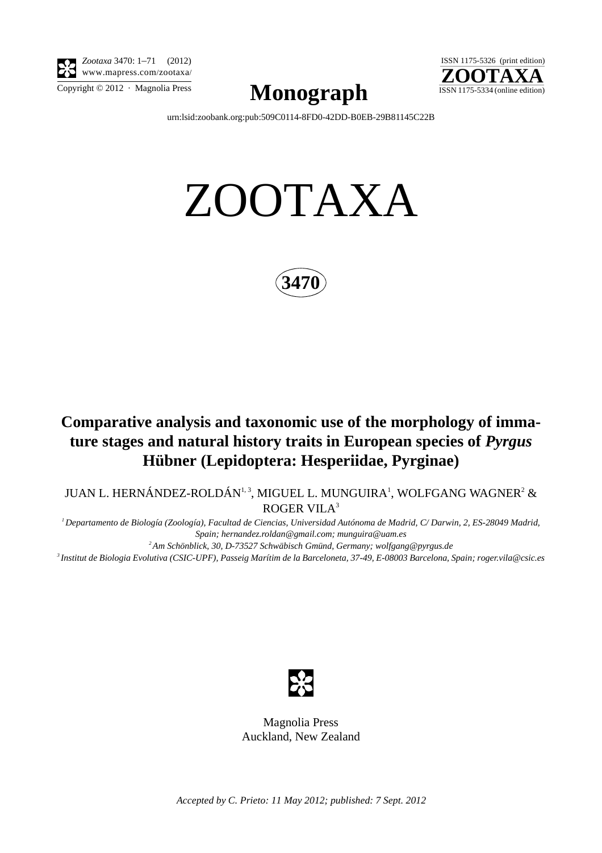

*Zootaxa* 3470: 1–71 (2012) www.mapress.com/zootaxa/

 $\mathbf{Mongraph}$   $\odot$  2012  $\cdot$  Magnolia Press  $\mathbf{Mongraph}$  ISSN 1175-5334 (online edition)



[urn:lsid:zoobank.org:pub:509C0114-8FD0-42DD-B0EB-29B81145C22B](http://zoobank.org/urn:lsid:zoobank.org:pub:509C0114-8FD0-42DD-B0EB-29B81145C22B)

# ZOOTAXA



## **Comparative analysis and taxonomic use of the morphology of immature stages and natural history traits in European species of** *Pyrgus* **Hübner (Lepidoptera: Hesperiidae, Pyrginae)**

JUAN L. HERNÁNDEZ-ROLDÁN $^{1,3}$ , MIGUEL L. MUNGUIRA $^{1}$ , WOLFGANG WAGNER $^{2}$  & ROGER VILA<sup>3</sup>

*1 Departamento de Biología (Zoología), Facultad de Ciencias, Universidad Autónoma de Madrid, C/ Darwin, 2, ES-28049 Madrid, Spain; [hernandez.roldan@gmail.com](mailto:hernandez.roldan@gmail.com); [munguira@uam.es](mailto:munguira@uam.es)*

*2 Am Schönblick, 30, D-73527 Schwäbisch Gmünd, Germany; [wolfgang@pyrgus.de](mailto:wolfgang@pyrgus.de)*

*3 Institut de Biologia Evolutiva (CSIC-UPF), Passeig Marítim de la Barceloneta, 37-49, E-08003 Barcelona, Spain; [roger.vila@csic.es](mailto:)*



Magnolia Press Auckland, New Zealand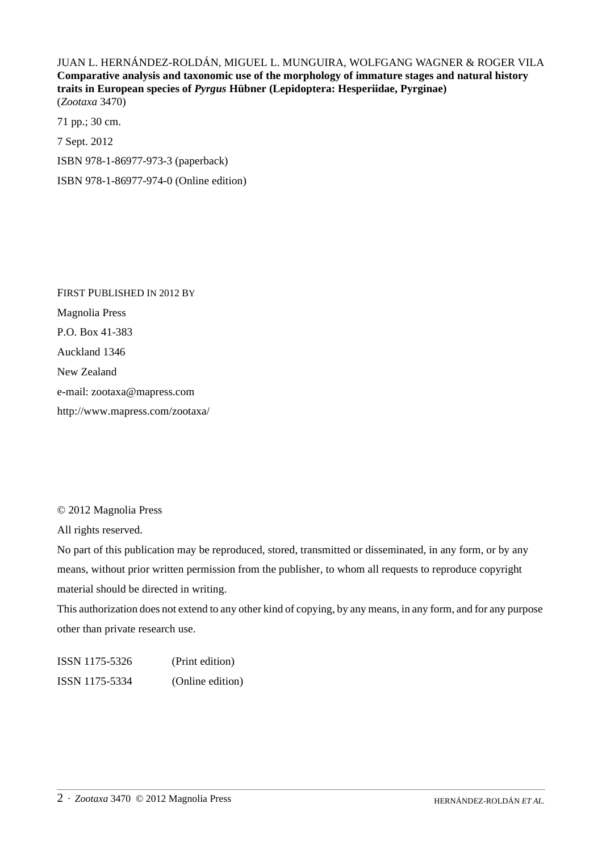JUAN L. HERNÁNDEZ-ROLDÁN, MIGUEL L. MUNGUIRA, WOLFGANG WAGNER & ROGER VILA **Comparative analysis and taxonomic use of the morphology of immature stages and natural history traits in European species of** *Pyrgus* **Hübner (Lepidoptera: Hesperiidae, Pyrginae)** (*Zootaxa* 3470)

71 pp.; 30 cm. 7 Sept. 2012 ISBN 978-1-86977-973-3 (paperback) ISBN 978-1-86977-974-0 (Online edition)

FIRST PUBLISHED IN 2012 BY Magnolia Press P.O. Box 41-383 Auckland 1346 New Zealand e-mail: zootaxa@mapress.com http://www.mapress.com/zootaxa/

© 2012 Magnolia Press

All rights reserved.

No part of this publication may be reproduced, stored, transmitted or disseminated, in any form, or by any means, without prior written permission from the publisher, to whom all requests to reproduce copyright material should be directed in writing.

This authorization does not extend to any other kind of copying, by any means, in any form, and for any purpose other than private research use.

ISSN 1175-5326 (Print edition) ISSN 1175-5334 (Online edition)